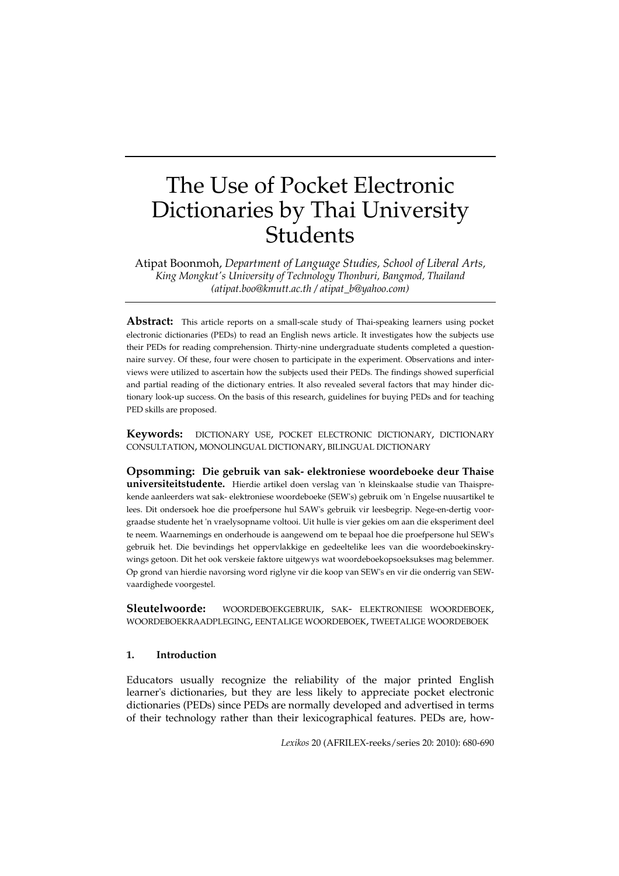# The Use of Pocket Electronic Dictionaries by Thai University Students

Atipat Boonmoh, *Department of Language Studies, School of Liberal Arts, King Mongkut's University of Technology Thonburi, Bangmod, Thailand (atipat.boo@kmutt.ac.th / atipat\_b@yahoo.com)*

Abstract: This article reports on a small-scale study of Thai-speaking learners using pocket electronic dictionaries (PEDs) to read an English news article. It investigates how the subjects use their PEDs for reading comprehension. Thirty-nine undergraduate students completed a questionnaire survey. Of these, four were chosen to participate in the experiment. Observations and interviews were utilized to ascertain how the subjects used their PEDs. The findings showed superficial and partial reading of the dictionary entries. It also revealed several factors that may hinder dictionary look-up success. On the basis of this research, guidelines for buying PEDs and for teaching PED skills are proposed.

**Keywords:** DICTIONARY USE, POCKET ELECTRONIC DICTIONARY, DICTIONARY CONSULTATION, MONOLINGUAL DICTIONARY, BILINGUAL DICTIONARY

**Opsomming: Die gebruik van sak- elektroniese woordeboeke deur Thaise universiteitstudente.** Hierdie artikel doen verslag van 'n kleinskaalse studie van Thaisprekende aanleerders wat sak- elektroniese woordeboeke (SEW's) gebruik om 'n Engelse nuusartikel te lees. Dit ondersoek hoe die proefpersone hul SAW's gebruik vir leesbegrip. Nege-en-dertig voorgraadse studente het 'n vraelysopname voltooi. Uit hulle is vier gekies om aan die eksperiment deel te neem. Waarnemings en onderhoude is aangewend om te bepaal hoe die proefpersone hul SEW's gebruik het. Die bevindings het oppervlakkige en gedeeltelike lees van die woordeboekinskrywings getoon. Dit het ook verskeie faktore uitgewys wat woordeboekopsoeksukses mag belemmer. Op grond van hierdie navorsing word riglyne vir die koop van SEW's en vir die onderrig van SEWvaardighede voorgestel.

**Sleutelwoorde:** WOORDEBOEKGEBRUIK, SAK- ELEKTRONIESE WOORDEBOEK, WOORDEBOEKRAADPLEGING, EENTALIGE WOORDEBOEK, TWEETALIGE WOORDEBOEK

# **1. Introduction**

Educators usually recognize the reliability of the major printed English learner's dictionaries, but they are less likely to appreciate pocket electronic dictionaries (PEDs) since PEDs are normally developed and advertised in terms of their technology rather than their lexicographical features. PEDs are, how-

*Lexikos* 20 (AFRILEX-reeks/series 20: 2010): 680-690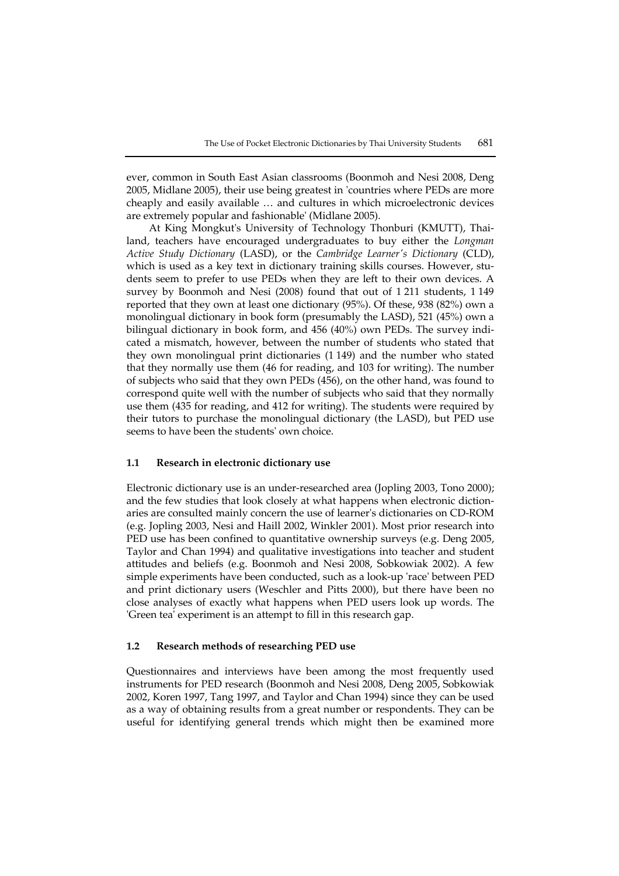ever, common in South East Asian classrooms (Boonmoh and Nesi 2008, Deng 2005, Midlane 2005), their use being greatest in 'countries where PEDs are more cheaply and easily available … and cultures in which microelectronic devices are extremely popular and fashionable' (Midlane 2005).

At King Mongkut's University of Technology Thonburi (KMUTT), Thailand, teachers have encouraged undergraduates to buy either the *Longman Active Study Dictionary* (LASD), or the *Cambridge Learner's Dictionary* (CLD), which is used as a key text in dictionary training skills courses. However, students seem to prefer to use PEDs when they are left to their own devices. A survey by Boonmoh and Nesi (2008) found that out of 1 211 students, 1 149 reported that they own at least one dictionary (95%). Of these, 938 (82%) own a monolingual dictionary in book form (presumably the LASD), 521 (45%) own a bilingual dictionary in book form, and 456 (40%) own PEDs. The survey indicated a mismatch, however, between the number of students who stated that they own monolingual print dictionaries (1 149) and the number who stated that they normally use them (46 for reading, and 103 for writing). The number of subjects who said that they own PEDs (456), on the other hand, was found to correspond quite well with the number of subjects who said that they normally use them (435 for reading, and 412 for writing). The students were required by their tutors to purchase the monolingual dictionary (the LASD), but PED use seems to have been the students' own choice.

## **1.1 Research in electronic dictionary use**

Electronic dictionary use is an under-researched area (Jopling 2003, Tono 2000); and the few studies that look closely at what happens when electronic dictionaries are consulted mainly concern the use of learner's dictionaries on CD-ROM (e.g. Jopling 2003, Nesi and Haill 2002, Winkler 2001). Most prior research into PED use has been confined to quantitative ownership surveys (e.g. Deng 2005, Taylor and Chan 1994) and qualitative investigations into teacher and student attitudes and beliefs (e.g. Boonmoh and Nesi 2008, Sobkowiak 2002). A few simple experiments have been conducted, such as a look-up 'race' between PED and print dictionary users (Weschler and Pitts 2000), but there have been no close analyses of exactly what happens when PED users look up words. The 'Green tea' experiment is an attempt to fill in this research gap.

#### **1.2 Research methods of researching PED use**

Questionnaires and interviews have been among the most frequently used instruments for PED research (Boonmoh and Nesi 2008, Deng 2005, Sobkowiak 2002, Koren 1997, Tang 1997, and Taylor and Chan 1994) since they can be used as a way of obtaining results from a great number or respondents. They can be useful for identifying general trends which might then be examined more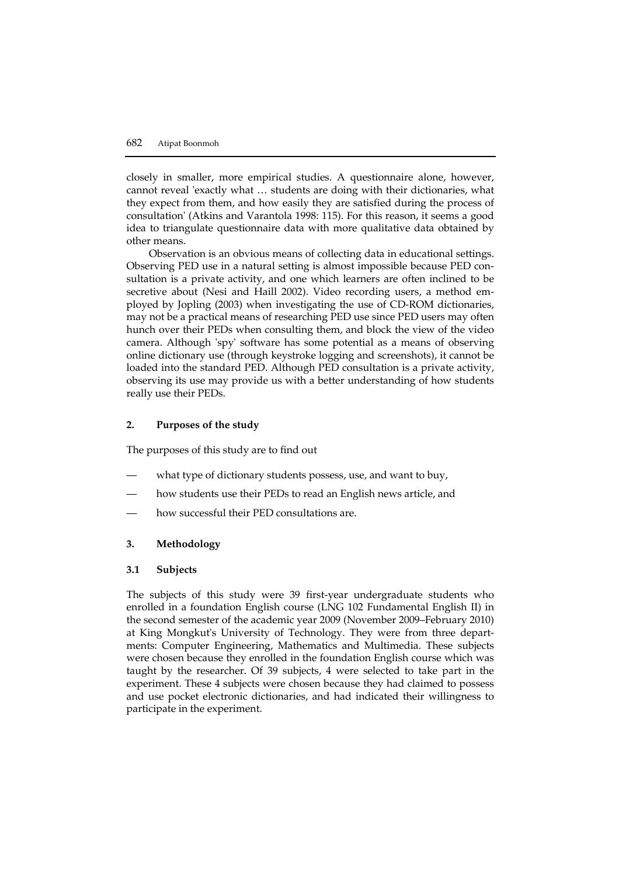closely in smaller, more empirical studies. A questionnaire alone, however, cannot reveal 'exactly what … students are doing with their dictionaries, what they expect from them, and how easily they are satisfied during the process of consultation' (Atkins and Varantola 1998: 115). For this reason, it seems a good idea to triangulate questionnaire data with more qualitative data obtained by other means.

Observation is an obvious means of collecting data in educational settings. Observing PED use in a natural setting is almost impossible because PED consultation is a private activity, and one which learners are often inclined to be secretive about (Nesi and Haill 2002). Video recording users, a method employed by Jopling (2003) when investigating the use of CD-ROM dictionaries, may not be a practical means of researching PED use since PED users may often hunch over their PEDs when consulting them, and block the view of the video camera. Although 'spy' software has some potential as a means of observing online dictionary use (through keystroke logging and screenshots), it cannot be loaded into the standard PED. Although PED consultation is a private activity, observing its use may provide us with a better understanding of how students really use their PEDs.

#### **2. Purposes of the study**

The purposes of this study are to find out

- what type of dictionary students possess, use, and want to buy,
- how students use their PEDs to read an English news article, and
- how successful their PED consultations are.

# **3. Methodology**

#### **3.1 Subjects**

The subjects of this study were 39 first-year undergraduate students who enrolled in a foundation English course (LNG 102 Fundamental English II) in the second semester of the academic year 2009 (November 2009–February 2010) at King Mongkut's University of Technology. They were from three departments: Computer Engineering, Mathematics and Multimedia. These subjects were chosen because they enrolled in the foundation English course which was taught by the researcher. Of 39 subjects, 4 were selected to take part in the experiment. These 4 subjects were chosen because they had claimed to possess and use pocket electronic dictionaries, and had indicated their willingness to participate in the experiment.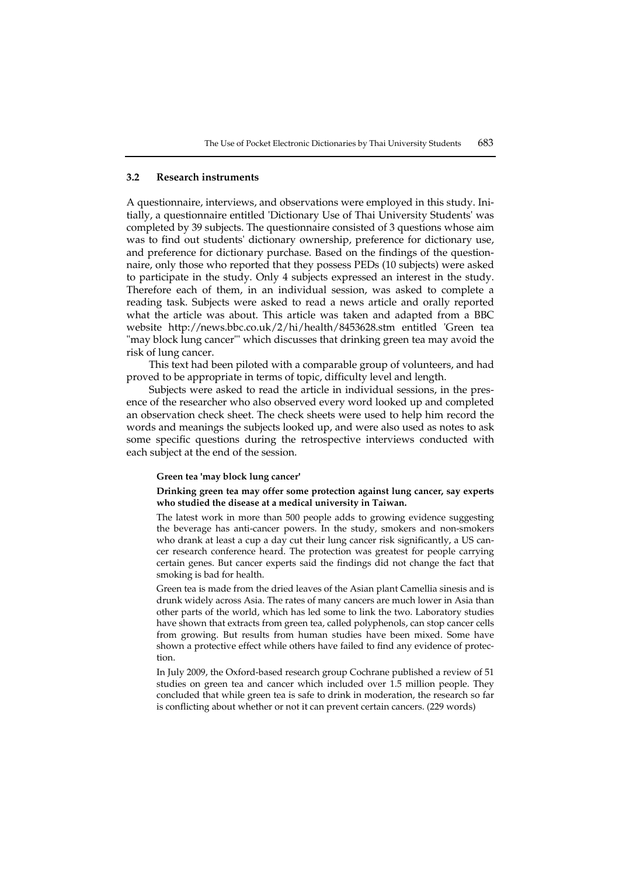#### **3.2 Research instruments**

A questionnaire, interviews, and observations were employed in this study. Initially, a questionnaire entitled 'Dictionary Use of Thai University Students' was completed by 39 subjects. The questionnaire consisted of 3 questions whose aim was to find out students' dictionary ownership, preference for dictionary use, and preference for dictionary purchase. Based on the findings of the questionnaire, only those who reported that they possess PEDs (10 subjects) were asked to participate in the study. Only 4 subjects expressed an interest in the study. Therefore each of them, in an individual session, was asked to complete a reading task. Subjects were asked to read a news article and orally reported what the article was about. This article was taken and adapted from a BBC website http://news.bbc.co.uk/2/hi/health/8453628.stm entitled 'Green tea "may block lung cancer"' which discusses that drinking green tea may avoid the risk of lung cancer.

This text had been piloted with a comparable group of volunteers, and had proved to be appropriate in terms of topic, difficulty level and length.

Subjects were asked to read the article in individual sessions, in the presence of the researcher who also observed every word looked up and completed an observation check sheet. The check sheets were used to help him record the words and meanings the subjects looked up, and were also used as notes to ask some specific questions during the retrospective interviews conducted with each subject at the end of the session.

#### **Green tea 'may block lung cancer'**

#### **Drinking green tea may offer some protection against lung cancer, say experts who studied the disease at a medical university in Taiwan.**

The latest work in more than 500 people adds to growing evidence suggesting the beverage has anti-cancer powers. In the study, smokers and non-smokers who drank at least a cup a day cut their lung cancer risk significantly, a US cancer research conference heard. The protection was greatest for people carrying certain genes. But cancer experts said the findings did not change the fact that smoking is bad for health.

Green tea is made from the dried leaves of the Asian plant Camellia sinesis and is drunk widely across Asia. The rates of many cancers are much lower in Asia than other parts of the world, which has led some to link the two. Laboratory studies have shown that extracts from green tea, called polyphenols, can stop cancer cells from growing. But results from human studies have been mixed. Some have shown a protective effect while others have failed to find any evidence of protection.

In July 2009, the Oxford-based research group Cochrane published a review of 51 studies on green tea and cancer which included over 1.5 million people. They concluded that while green tea is safe to drink in moderation, the research so far is conflicting about whether or not it can prevent certain cancers. (229 words)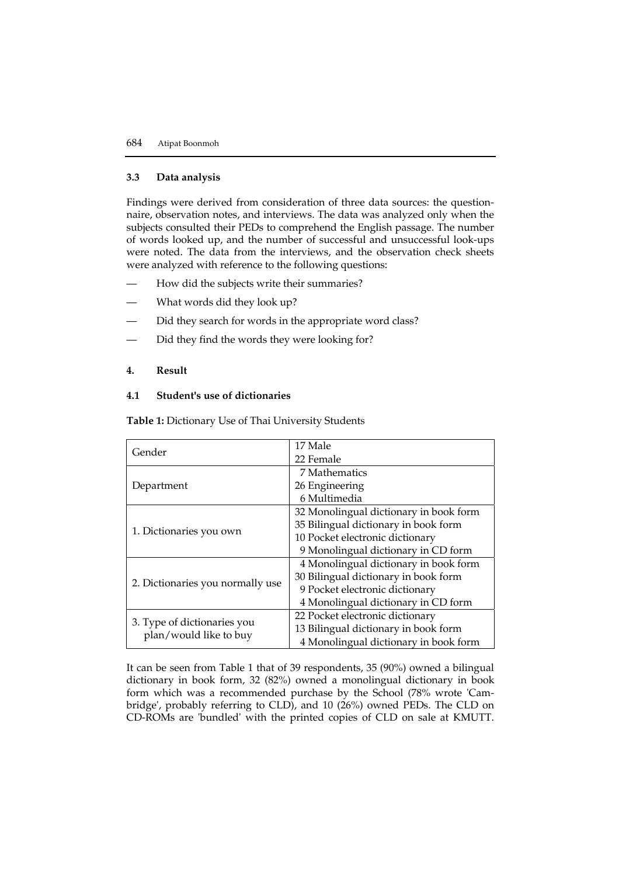#### **3.3 Data analysis**

Findings were derived from consideration of three data sources: the questionnaire, observation notes, and interviews. The data was analyzed only when the subjects consulted their PEDs to comprehend the English passage. The number of words looked up, and the number of successful and unsuccessful look-ups were noted. The data from the interviews, and the observation check sheets were analyzed with reference to the following questions:

- How did the subjects write their summaries?
- What words did they look up?
- Did they search for words in the appropriate word class?
- Did they find the words they were looking for?

#### **4. Result**

### **4.1 Student's use of dictionaries**

**Table 1:** Dictionary Use of Thai University Students

| Gender                                                | 17 Male                                |  |
|-------------------------------------------------------|----------------------------------------|--|
|                                                       | 22 Female                              |  |
|                                                       | 7 Mathematics                          |  |
| Department                                            | 26 Engineering                         |  |
|                                                       | 6 Multimedia                           |  |
| 1. Dictionaries you own                               | 32 Monolingual dictionary in book form |  |
|                                                       | 35 Bilingual dictionary in book form   |  |
|                                                       | 10 Pocket electronic dictionary        |  |
|                                                       | 9 Monolingual dictionary in CD form    |  |
| 2. Dictionaries you normally use                      | 4 Monolingual dictionary in book form  |  |
|                                                       | 30 Bilingual dictionary in book form   |  |
|                                                       | 9 Pocket electronic dictionary         |  |
|                                                       | 4 Monolingual dictionary in CD form    |  |
| 3. Type of dictionaries you<br>plan/would like to buy | 22 Pocket electronic dictionary        |  |
|                                                       | 13 Bilingual dictionary in book form   |  |
|                                                       | 4 Monolingual dictionary in book form  |  |

It can be seen from Table 1 that of 39 respondents, 35 (90%) owned a bilingual dictionary in book form, 32 (82%) owned a monolingual dictionary in book form which was a recommended purchase by the School (78% wrote 'Cambridge', probably referring to CLD), and 10 (26%) owned PEDs. The CLD on CD-ROMs are 'bundled' with the printed copies of CLD on sale at KMUTT.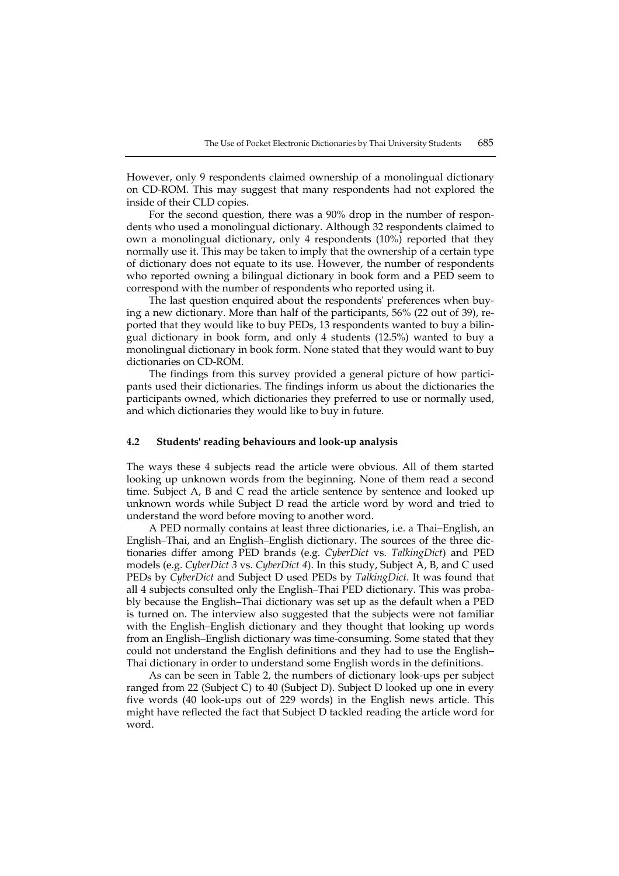However, only 9 respondents claimed ownership of a monolingual dictionary on CD-ROM. This may suggest that many respondents had not explored the inside of their CLD copies.

For the second question, there was a 90% drop in the number of respondents who used a monolingual dictionary. Although 32 respondents claimed to own a monolingual dictionary, only 4 respondents (10%) reported that they normally use it. This may be taken to imply that the ownership of a certain type of dictionary does not equate to its use. However, the number of respondents who reported owning a bilingual dictionary in book form and a PED seem to correspond with the number of respondents who reported using it.

The last question enquired about the respondents' preferences when buying a new dictionary. More than half of the participants, 56% (22 out of 39), reported that they would like to buy PEDs, 13 respondents wanted to buy a bilingual dictionary in book form, and only 4 students (12.5%) wanted to buy a monolingual dictionary in book form. None stated that they would want to buy dictionaries on CD-ROM.

The findings from this survey provided a general picture of how participants used their dictionaries. The findings inform us about the dictionaries the participants owned, which dictionaries they preferred to use or normally used, and which dictionaries they would like to buy in future.

#### **4.2 Students' reading behaviours and look-up analysis**

The ways these 4 subjects read the article were obvious. All of them started looking up unknown words from the beginning. None of them read a second time. Subject A, B and C read the article sentence by sentence and looked up unknown words while Subject D read the article word by word and tried to understand the word before moving to another word.

A PED normally contains at least three dictionaries, i.e. a Thai–English, an English–Thai, and an English–English dictionary. The sources of the three dictionaries differ among PED brands (e.g. *CyberDict* vs. *TalkingDict*) and PED models (e.g. *CyberDict 3* vs. *CyberDict 4*). In this study, Subject A, B, and C used PEDs by *CyberDict* and Subject D used PEDs by *TalkingDict*. It was found that all 4 subjects consulted only the English–Thai PED dictionary. This was probably because the English–Thai dictionary was set up as the default when a PED is turned on. The interview also suggested that the subjects were not familiar with the English–English dictionary and they thought that looking up words from an English–English dictionary was time-consuming. Some stated that they could not understand the English definitions and they had to use the English– Thai dictionary in order to understand some English words in the definitions.

As can be seen in Table 2, the numbers of dictionary look-ups per subject ranged from 22 (Subject C) to 40 (Subject D). Subject D looked up one in every five words (40 look-ups out of 229 words) in the English news article. This might have reflected the fact that Subject D tackled reading the article word for word.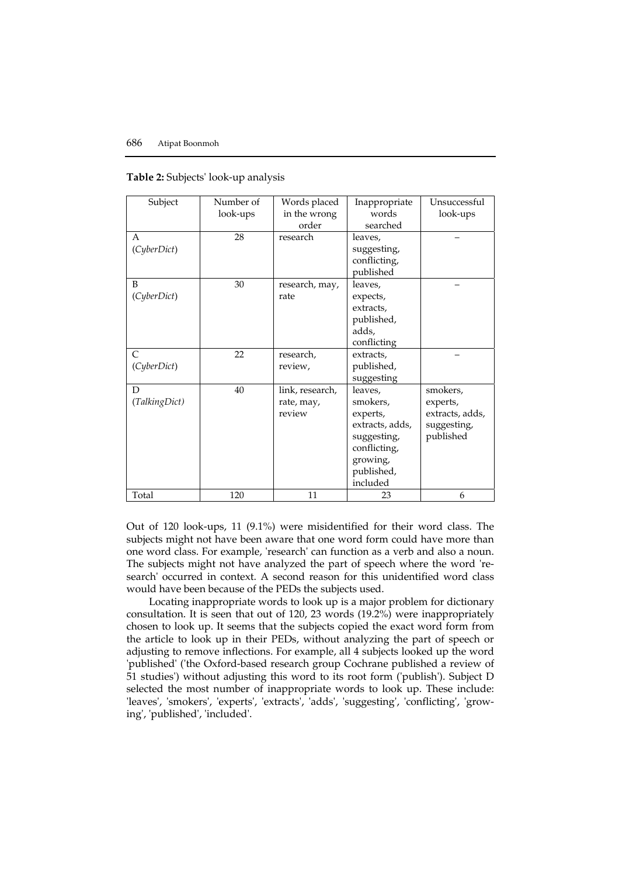| Subject       | Number of | Words placed    | Inappropriate   | Unsuccessful    |
|---------------|-----------|-----------------|-----------------|-----------------|
|               | look-ups  | in the wrong    | words           | look-ups        |
|               |           | order           | searched        |                 |
| A             | 28        | research        | leaves,         |                 |
| (CyberDict)   |           |                 | suggesting,     |                 |
|               |           |                 | conflicting,    |                 |
|               |           |                 | published       |                 |
| B             | 30        | research, may,  | leaves,         |                 |
| (CyberDict)   |           | rate            | expects,        |                 |
|               |           |                 | extracts,       |                 |
|               |           |                 | published,      |                 |
|               |           |                 | adds,           |                 |
|               |           |                 | conflicting     |                 |
| C             | 22        | research,       | extracts,       |                 |
| (CyberDict)   |           | review,         | published,      |                 |
|               |           |                 | suggesting      |                 |
| D             | 40        | link, research, | leaves,         | smokers,        |
| (TalkingDict) |           | rate, may,      | smokers,        | experts,        |
|               |           | review          | experts,        | extracts, adds, |
|               |           |                 | extracts, adds, | suggesting,     |
|               |           |                 | suggesting,     | published       |
|               |           |                 | conflicting,    |                 |
|               |           |                 | growing,        |                 |
|               |           |                 | published,      |                 |
|               |           |                 | included        |                 |
| Total         | 120       | 11              | 23              | 6               |

#### **Table 2:** Subjects' look-up analysis

Out of 120 look-ups, 11 (9.1%) were misidentified for their word class. The subjects might not have been aware that one word form could have more than one word class. For example, 'research' can function as a verb and also a noun. The subjects might not have analyzed the part of speech where the word 'research' occurred in context. A second reason for this unidentified word class would have been because of the PEDs the subjects used.

Locating inappropriate words to look up is a major problem for dictionary consultation. It is seen that out of 120, 23 words (19.2%) were inappropriately chosen to look up. It seems that the subjects copied the exact word form from the article to look up in their PEDs, without analyzing the part of speech or adjusting to remove inflections. For example, all 4 subjects looked up the word 'published' ('the Oxford-based research group Cochrane published a review of 51 studies') without adjusting this word to its root form ('publish'). Subject D selected the most number of inappropriate words to look up. These include: 'leaves', 'smokers', 'experts', 'extracts', 'adds', 'suggesting', 'conflicting', 'growing', 'published', 'included'.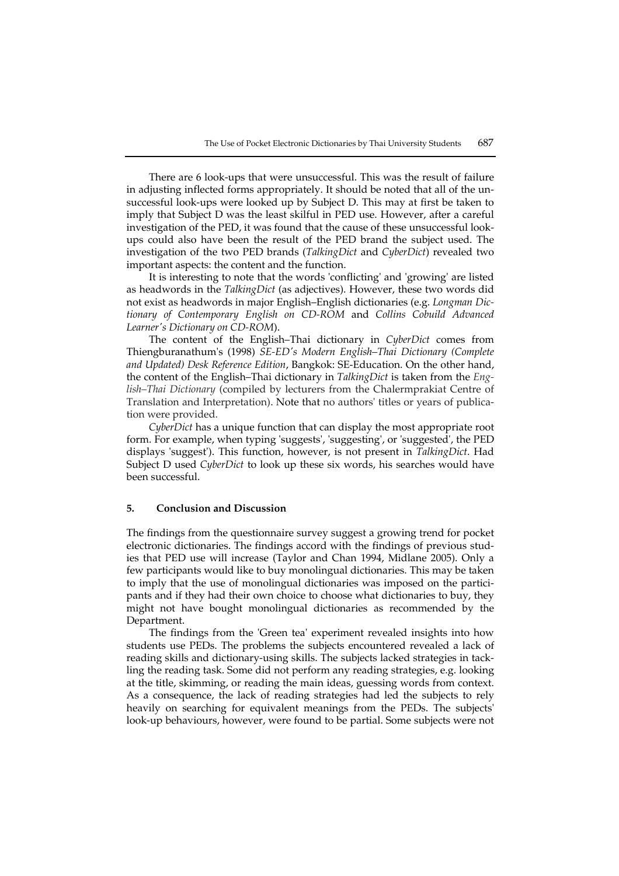There are 6 look-ups that were unsuccessful. This was the result of failure in adjusting inflected forms appropriately. It should be noted that all of the unsuccessful look-ups were looked up by Subject D. This may at first be taken to imply that Subject D was the least skilful in PED use. However, after a careful investigation of the PED, it was found that the cause of these unsuccessful lookups could also have been the result of the PED brand the subject used. The investigation of the two PED brands (*TalkingDict* and *CyberDict*) revealed two important aspects: the content and the function.

It is interesting to note that the words 'conflicting' and 'growing' are listed as headwords in the *TalkingDict* (as adjectives). However, these two words did not exist as headwords in major English–English dictionaries (e.g. *Longman Dictionary of Contemporary English on CD-ROM* and *Collins Cobuild Advanced Learner's Dictionary on CD-ROM*).

The content of the English–Thai dictionary in *CyberDict* comes from Thiengburanathum's (1998) *SE-ED's Modern English–Thai Dictionary (Complete and Updated) Desk Reference Edition*, Bangkok: SE-Education. On the other hand, the content of the English–Thai dictionary in *TalkingDict* is taken from the *English–Thai Dictionary* (compiled by lecturers from the Chalermprakiat Centre of Translation and Interpretation). Note that no authors' titles or years of publication were provided.

*CyberDict* has a unique function that can display the most appropriate root form. For example, when typing 'suggests', 'suggesting', or 'suggested', the PED displays 'suggest'). This function, however, is not present in *TalkingDict*. Had Subject D used *CyberDict* to look up these six words, his searches would have been successful.

# **5. Conclusion and Discussion**

The findings from the questionnaire survey suggest a growing trend for pocket electronic dictionaries. The findings accord with the findings of previous studies that PED use will increase (Taylor and Chan 1994, Midlane 2005). Only a few participants would like to buy monolingual dictionaries. This may be taken to imply that the use of monolingual dictionaries was imposed on the participants and if they had their own choice to choose what dictionaries to buy, they might not have bought monolingual dictionaries as recommended by the Department.

The findings from the 'Green tea' experiment revealed insights into how students use PEDs. The problems the subjects encountered revealed a lack of reading skills and dictionary-using skills. The subjects lacked strategies in tackling the reading task. Some did not perform any reading strategies, e.g. looking at the title, skimming, or reading the main ideas, guessing words from context. As a consequence, the lack of reading strategies had led the subjects to rely heavily on searching for equivalent meanings from the PEDs. The subjects' look-up behaviours, however, were found to be partial. Some subjects were not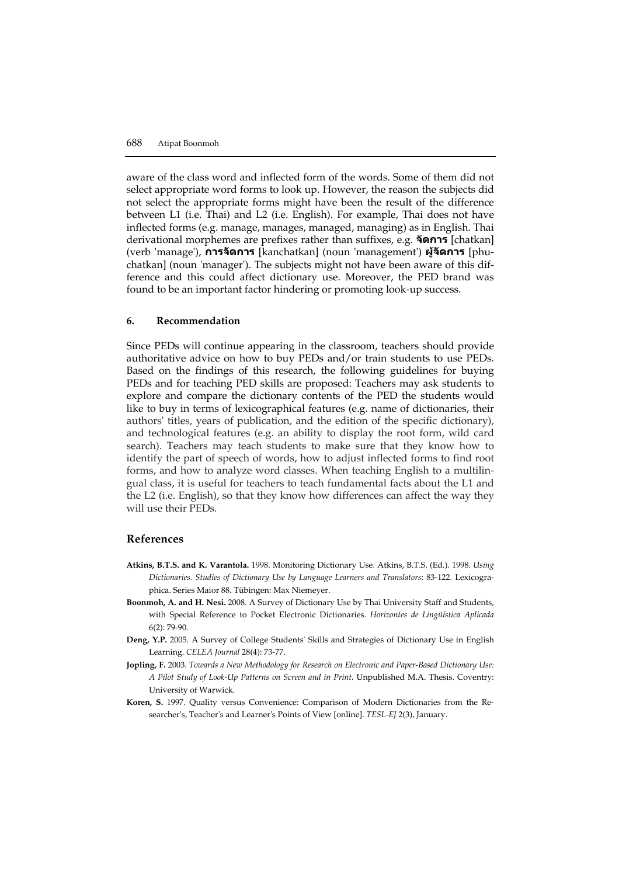aware of the class word and inflected form of the words. Some of them did not select appropriate word forms to look up. However, the reason the subjects did not select the appropriate forms might have been the result of the difference between L1 (i.e. Thai) and L2 (i.e. English). For example, Thai does not have inflected forms (e.g. manage, manages, managed, managing) as in English. Thai derivational morphemes are prefixes rather than suffixes, e.g. **จัดการ** [chatkan] (verb 'manage'), **การจัดการ** [kanchatkan] (noun 'management') **ผูจัดการ** [phuchatkan] (noun 'manager'). The subjects might not have been aware of this difference and this could affect dictionary use. Moreover, the PED brand was found to be an important factor hindering or promoting look-up success.

#### **6. Recommendation**

Since PEDs will continue appearing in the classroom, teachers should provide authoritative advice on how to buy PEDs and/or train students to use PEDs. Based on the findings of this research, the following guidelines for buying PEDs and for teaching PED skills are proposed: Teachers may ask students to explore and compare the dictionary contents of the PED the students would like to buy in terms of lexicographical features (e.g. name of dictionaries, their authors' titles, years of publication, and the edition of the specific dictionary), and technological features (e.g. an ability to display the root form, wild card search). Teachers may teach students to make sure that they know how to identify the part of speech of words, how to adjust inflected forms to find root forms, and how to analyze word classes. When teaching English to a multilingual class, it is useful for teachers to teach fundamental facts about the L1 and the L2 (i.e. English), so that they know how differences can affect the way they will use their PEDs.

# **References**

- **Atkins, B.T.S. and K. Varantola.** 1998. Monitoring Dictionary Use. Atkins, B.T.S. (Ed.). 1998. *Using Dictionaries. Studies of Dictionary Use by Language Learners and Translators*: 83-122. Lexicographica. Series Maior 88. Tübingen: Max Niemeyer.
- **Boonmoh, A. and H. Nesi.** 2008. A Survey of Dictionary Use by Thai University Staff and Students, with Special Reference to Pocket Electronic Dictionaries. *Horizontes de Lingüística Aplicada* 6(2): 79-90.
- **Deng, Y.P.** 2005. A Survey of College Students' Skills and Strategies of Dictionary Use in English Learning. *CELEA Journal* 28(4): 73-77.
- **Jopling, F.** 2003. *Towards a New Methodology for Research on Electronic and Paper-Based Dictionary Use: A Pilot Study of Look-Up Patterns on Screen and in Print*. Unpublished M.A. Thesis. Coventry: University of Warwick.
- **Koren, S.** 1997. Quality versus Convenience: Comparison of Modern Dictionaries from the Researcher's, Teacher's and Learner's Points of View [online]. *TESL-EJ* 2(3), January.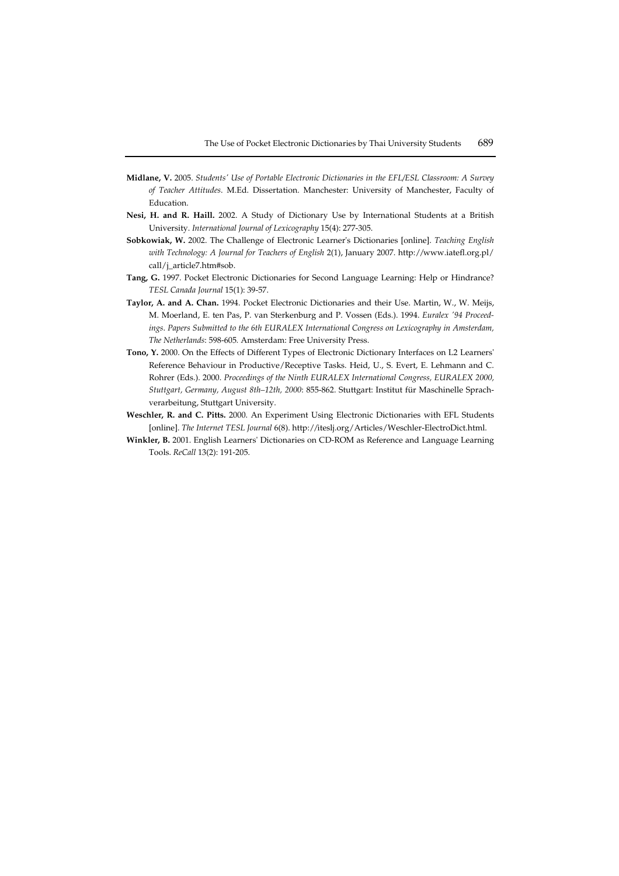- **Midlane, V.** 2005. *Students' Use of Portable Electronic Dictionaries in the EFL/ESL Classroom: A Survey of Teacher Attitudes*. M.Ed. Dissertation. Manchester: University of Manchester, Faculty of Education.
- **Nesi, H. and R. Haill.** 2002. A Study of Dictionary Use by International Students at a British University. *International Journal of Lexicography* 15(4): 277-305.
- **Sobkowiak, W.** 2002. The Challenge of Electronic Learner's Dictionaries [online]. *Teaching English with Technology: A Journal for Teachers of English* 2(1), January 2007. http://www.iatefl.org.pl/ call/j\_article7.htm#sob.
- **Tang, G.** 1997. Pocket Electronic Dictionaries for Second Language Learning: Help or Hindrance? *TESL Canada Journal* 15(1): 39-57.
- **Taylor, A. and A. Chan.** 1994. Pocket Electronic Dictionaries and their Use. Martin, W., W. Meijs, M. Moerland, E. ten Pas, P. van Sterkenburg and P. Vossen (Eds.). 1994. *Euralex '94 Proceedings*. *Papers Submitted to the 6th EURALEX International Congress on Lexicography in Amsterdam, The Netherlands*: 598-605*.* Amsterdam: Free University Press.
- **Tono, Y.** 2000. On the Effects of Different Types of Electronic Dictionary Interfaces on L2 Learners' Reference Behaviour in Productive/Receptive Tasks. Heid, U., S. Evert, E. Lehmann and C. Rohrer (Eds.). 2000. *Proceedings of the Ninth EURALEX International Congress, EURALEX 2000, Stuttgart, Germany, August 8th–12th, 2000*: 855-862. Stuttgart: Institut für Maschinelle Sprachverarbeitung, Stuttgart University.
- **Weschler, R. and C. Pitts.** 2000. An Experiment Using Electronic Dictionaries with EFL Students [online]. *The Internet TESL Journal* 6(8). http://iteslj.org/Articles/Weschler-ElectroDict.html.
- **Winkler, B.** 2001. English Learners' Dictionaries on CD-ROM as Reference and Language Learning Tools. *ReCall* 13(2): 191-205.